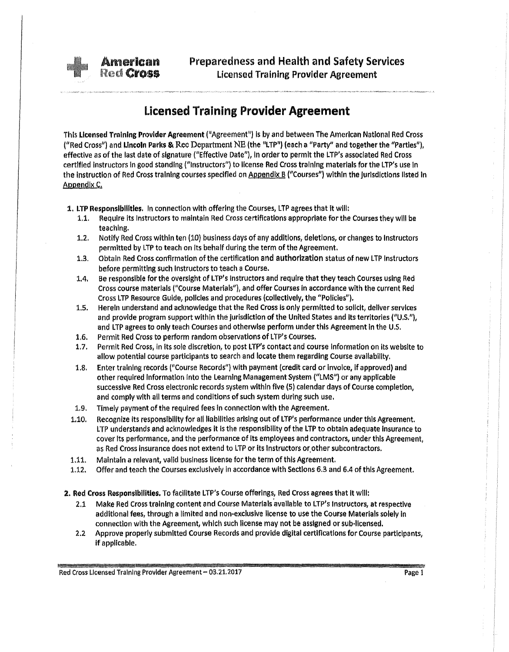Preparedness and Health and Safety Services Licensed Training Provider Agreement

## Licensed Training Provider Agreement

This Licensed Training Provider Agreement ("Agreement") Is by and between The American National Red Cross ("Red Cross") and Lincoln Parks & Rec Department NE (the "LTP") (each a "Party" and together the "Partles"), effective as of the last date of signature ("Effective Date"), in order to permit the LTP's associated Red Cross certified instructors in good standing ("Instructors") to license Red Cross training materials for the LTP's use in the instruction of Red Cross training courses specified on <u>Appendix B</u> ("Courses") within the jurisdictions listed in Appendix C.

1. LTP Responsibilities. In connection with offering the Courses, LTP agrees that It will:

**American<br>Red Cross** 

- 1.1. Require Its Instructors to maintain Red Cross certifications appropriate for the Courses they will be teaching.
- 1.2. Notify Red Cross within ten (10) business days of any additions, deletions, or changes to Instructors permitted by LTP to teach on Its behalf during the term of the Agreement.
- 1.3. Obtain Red Cross confirmation of the certification and authorization status of new LTP Instructors before permitting such Instructors to teach a Course.
- 1.4. Be responsible for the oversight of LTP's Instructors and require that they teach Courses using Red Cross course materials ("Course Materials"), and offer Courses in accordance with the current Red Cross LTP Resource Guide, policies and procedures (collectively, the "Policies").
- 1.5. Herein understand and acknowledge that the Red Cross Is only permitted to solicit, deliver services and provide program support within the jurisdiction of the United States and its territories ("U.S."), and LTP agrees to only teach Courses and otherwise perform under this Agreement in the U.S.
- 1.6. Permit Red Cross to perform random observations of l TP's Courses.
- 1.7. Permit Red Cross, in its sole discretion, to post LTP's contact and course information on its website to allow potential course participants to search and locate them regarding Course availability.
- 1.8. Enter training records ("Course Records") with payment (credit card or invoice, if approved) and other required Information into the Learning Management System ("LMS") or any applicable successive Red Cross electronic records system within five (5) calendar days of Course completion, and comply with all terms and conditions of such system during such use.
- 1.9. Timely payment of the required fees in connection with the Agreement.
- 1.10. Recognize Its responsibility for all liabilities arising out of LTP's performance under this Agreement. LTP understands and acknowledges it is the responsibility of the LTP to obtain adequate insurance to cover Its performance, and the performance of Its employees and contractors, under this Agreement, as Red Cross insurance does not extend to LTP or its Instructors or other subcontractors.
- 1.11. Maintain a relevant, valid business license for the term of this Agreement.
- 1.12. Offer and teach the Courses exclusively in accordance with Sections 6.3 and 6.4 of this Agreement.
- 2. Red Cross Responsibilities. To facilitate LTP's Course offerings, Red Cross agrees that it will:
	- 2.1 Make Red Cross training content and Course Materials available to LTP's Instructors, at respective additional fees, through a limited and non·exclusive license to use the Course Materials solely in connection with the Agreement, which such license may not be assigned or sub-licensed.
	- 2.2 Approve properly submitted Course Records and provide digital certifications for Course participants, if applicable.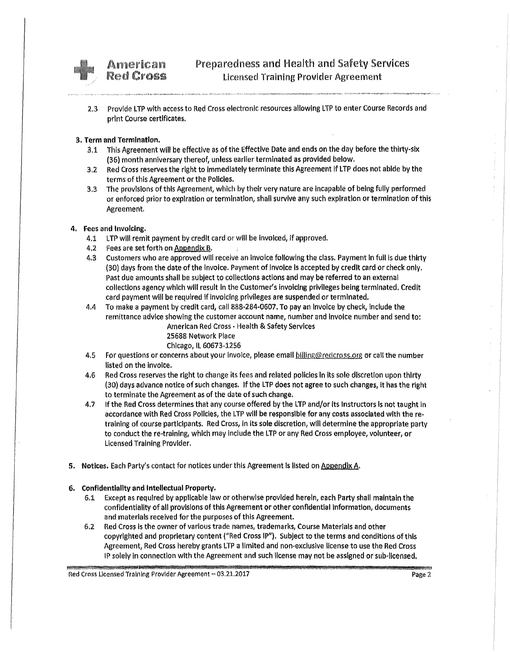

American **Red Cross** 

2.3 Provide LTP with access to Red Cross electronic resources allowing LTP to enter Course Records and print Course certificates.

### 3. Term and Termination.

- 3.1 This Agreement will be effective as of the Effective Date and ends on the day before the thirty-six (36) month anniversary thereof, unless earlier terminated as provided below.
- 3.2 Red Cross reserves the right to Immediately terminate this Agreement If LTP does not abide by the terms of this Agreement or the Policies.
- 3.3 The provisions of this Agreement, which by their very nature are Incapable of being fully performed or enforced prior to expiration or termination, shall survive any such expiration or termination of this Agreement.

#### 4. Fees and Invoicing.

- 4.1 LTP will remit payment by credit card or will be invoiced, if approved.
- 4,2 Fees are set forth on Appendix  $B$ .
- 4.3 Customers who are approved will receive an Invoice following the class. Payment In full is due thirty (30) days from the date of the Invoice. Payment of Invoice Is accepted by credit card or check only, Past due amounts shall be subject to collections actions and may be referred to an external collections agency which will result in the Customer's invoicing privileges being terminated. Credit card payment will be required If invoicing privileges are suspended or terminated.
- 4.4 To make a payment by credit card, call888-284·0607. To pay an Invoice by check, Include the remittance advice showing the customer account name, number and Invoice number and send to:

American Red Cross • Health & Safety Services 25688 Network Place Chicago, IL 60673-1256

- 4.5 For questions or concerns about your invoice, please email billing@redcross.org or call the number listed on the invoice.
- 4,6 Red Cross reserves the right to change its fees and related policies In Its sole discretion upon thirty (30) days advance notice of such changes. If the LTP does not agree to such changes, it has the right to terminate the Agreement as of the date of such change.
- 4.7 If the Red Cross determines that any course offered by the LTP and/or its Instructors is not taught In accordance with Red Cross Policies, the LTP will be responsible for any costs associated with there· training of course participants. Red Cross, In its sole discretion, will determine the appropriate party to conduct the re-training, which may Include the LTP or any Red Cross employee, volunteer, or Licensed Training Provider.
- 5. Notices. Each Party's contact for notices under this Agreement Is listed on Appendix A.

#### 6. Confidentiality and Intellectual Property.

- 6.1 Except as required by applicable law or otherwise provided herein, each Party shall maintain the confidentiality of all provisions of this Agreement or other confidential Information, documents and materials received for the purposes of this Agreement.
- 6.2 Red Cross Is the owner of various trade names, trademarks, Course Materials and other copyrighted and proprietary content ("Red Cross IP"). subject to the terms and conditions of this Agreement, Red Cross hereby grants LTP a limited and non-exclusive license to use the Red Cross IP solely In connection with the Agreement and such license may not be assigned or sub-licensed.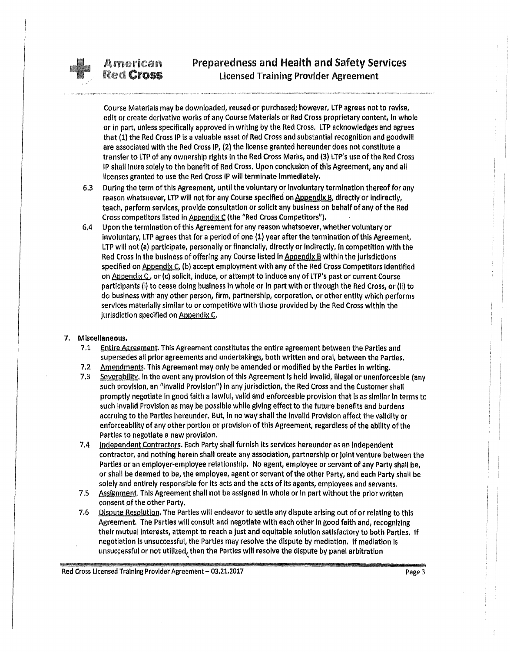## Preparedness and Health and Safety Services Licensed Training Provider Agreement

Course Materials may be downloaded, reused or purchased; however, LTP agrees not to revise, edit or create derivative works of any Course Materials or Red Cross proprietary content, In whole or in part, unless specifically approved In writing by the Red Cross. LTP acknowledges and agrees that (1) the Red Cross IP is a valuable asset of Red Cross and substantial recognition and goodwill are associated with the Red Cross IP, {2) the license granted hereunder does not constitute a transfer to LTP of any ownership rights In the Red Cross Marks, and {3) LTP's use of the Red Cross IP shall inure solely to the benefit of Red Cross. Upon conclusion of this Agreement, any and all licenses granted to use the Red Cross IP will terminate Immediately.

- 6.3 During the term of this Agreement, until the voluntary or Involuntary termination thereof for any reason whatsoever, LTP will not for any Course specified on Appendix B, directly or indirectly, teach, perform services, provide consultation or solicit any business on behalf of any of the Red Cross competitors listed in Appendix C (the "Red Cross Competitors").
- 6.4 Upon the termination of this Agreement for any reason whatsoever, whether voluntary or Involuntary, LTP agrees that for a period of one (1) year after the termination ofthls Agreement, LTP will not (a) participate, personally or financially, directly or indirectly, in competition with the Red Cross in the business of offering any Course listed In Appendix B within the jurisdictions specified on Appendix C. (b) accept employment with any of the Red Cross Competitors identified on Appendix C, or (c) solicit, induce, or attempt to induce any of LTP's past or current Course participants (I} to cease doing business In whole or In part with or through the Red Cross, or (II) to do business with any other person, firm, partnership, corporation, or other entity which performs services materially similar to or competitive with those provided by the Red Cross within the jurisdiction specified on Appendix C.

#### 7. Miscellaneous.

- 7.1 Entire Agreement. This Agreement constitutes the entire agreement between the Parties and supersedes all prior agreements and undertakings, both written and oral, between the Parties.
- 7.2 Amendments. This Agreement may only be amended or modified by the Parties in writing.
- 7.3 Severability. In the event any provision of this Agreement is held invalid, illegal or unenforceable (any such provision, an "Invalid Provision") In any jurisdiction, the Red Cross and the Customer shall promptly negotiate In good faith a lawful} valid and enforceable provision that is as similar in terms to such Invalid Provision as may be possible while giving effect to the future benefits and burdens accruing to the Parties hereunder. But, in no way shall the Invalid Provision affect the validity or enforceability of any other portion or provision of this Agreement, regardless of the ability of the Parties to negotiate a new provision.
- 7.4 Independent Contractors. Each Party shall furnish its services hereunder as an Independent contractor, and nothing herein shall create any association, partnership or joint venture between the Parties or an employer-employee relationship. No agent, employee or servant of any Party shall be, or shall be deemed to be, the employee, agent or servant ofthe other Party, and each Party shall be solely and entirely responsible for its acts and the acts of Its agents, employees and servants.
- 7.5 Assignment. This Agreement shall not be assigned In whole or In part without the prior written consent of the other Party.
- 7.6 Dispute Resolution. The Parties will endeavor to settle any dispute arising out of or relating to this Agreement. The Parties will consult and negotiate with each other in good faith and, recognizing their mutual Interests, attempt to reach a just and equitable solution satisfactory to both Parties. If negotiation Is unsuccessful, the Parties may resolve the dispute by mediation. If mediation Is unsuccessful or not utilized, then the Parties will resolve the dispute by panel arbitration '

Red Cross Licensed Training Provider Agreement – 03.21.2017 **Page 3** Page 3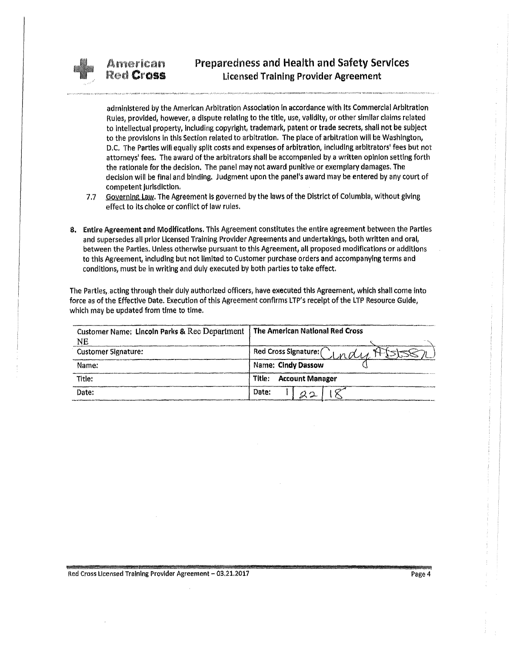

administered by the American Arbitration Association In accordance with Its Commercial Arbitration Rules, provided, however, a dispute relating to the title, use, validity, or other similar claims related to Intellectual property, Including copyright, trademark, patent or trade secrets, shall not be subject to the provisions In this Section related to arbitration. The place of arbitration will be Washington, D.C. The Parties will equally split costs and expenses of arbitration, Including arbitrators' fees but not attorneys' fees. The award of the arbitrators shall be accompanied by a written opinion setting forth the rationale for the decision. The panel may not award punitive or exemplary damages. The decision will be final and binding. Judgment upon the panel's award may be entered by any court of competent jurisdiction.

- 7.7 Governing Law. The Agreement is governed by the laws of the District of Columbia, without giving effect to Its choice or conflict of law rules.
- 8. Entire Agreement and Modifications. This Agreement constitutes the entire agreement between the Parties and supersedes all prior licensed Training Provider Agreements and undertakings, both written and oral, between the Parties. Unless otherwise pursuant to this Agreement, all proposed modifications or additions to this Agreement, including but not limited to Customer purchase orders and accompanying terms and conditions, must be in writing and duly executed by both parties to take effect.

The Parties, acting through their duly authorized officers, have executed this Agreement, which shall come into force as of the Effective Date. Execution of this Agreement confirms LTP's receipt of the LTP Resource Guide, which may be updated from time to time.

| Customer Name: Lincoln Parks & Rec Department<br>NE | l The American National Red Cross |
|-----------------------------------------------------|-----------------------------------|
| <b>Customer Signature:</b>                          | Red Cross Signature: CLndul H     |
| Name:                                               | Name: Cindy Dassow                |
| Title:                                              | Title:<br><b>Account Manager</b>  |
| Date:                                               | Date:                             |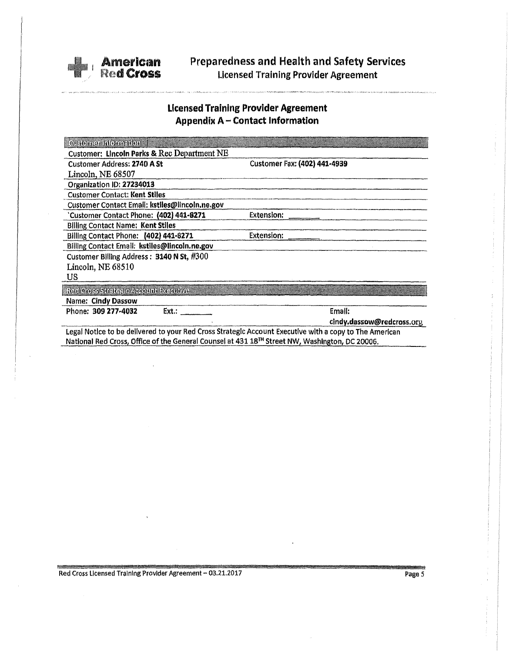

# **Preparedness and Health and Safety Services Licensed Training Provider Agreement**

## **Licensed Training Provider Agreement Appendix A - Contact Information**

| Customer Information                                                                                       |                              |  |  |
|------------------------------------------------------------------------------------------------------------|------------------------------|--|--|
| Customer: Lincoln Parks & Rec Department NE                                                                |                              |  |  |
| <b>Customer Address: 2740 A St</b>                                                                         | Customer Fax: (402) 441-4939 |  |  |
| Lincoln, NE 68507                                                                                          |                              |  |  |
| Organization ID: 27234013                                                                                  |                              |  |  |
| <b>Customer Contact: Kent Stiles</b>                                                                       |                              |  |  |
| Customer Contact Email: kstlles@lincoln.ne.gov                                                             |                              |  |  |
| Customer Contact Phone: (402) 441-8271                                                                     | <b>Extension:</b>            |  |  |
| <b>Billing Contact Name: Kent Stiles</b>                                                                   |                              |  |  |
| Billing Contact Phone: (402) 441-8271                                                                      | Extension:                   |  |  |
| Billing Contact Email: kstiles@lincoln.ne.gov                                                              |                              |  |  |
| Customer Billing Address: 3140 N St, #300                                                                  |                              |  |  |
| Lincoln, NE 68510                                                                                          |                              |  |  |
| US.                                                                                                        |                              |  |  |
| Red Cross Strategic Account Executive                                                                      |                              |  |  |
| <b>Name: Cindy Dassow</b>                                                                                  |                              |  |  |
| Phone: 309 277-4032<br>Ext.:                                                                               | Emall:                       |  |  |
|                                                                                                            | cindy.dassow@redcross.org    |  |  |
| Legal Notice to be delivered to your Red Cross Strategic Account Executive with a copy to The American     |                              |  |  |
| National Red Cross, Office of the General Counsel at 431 18 <sup>TH</sup> Street NW, Washington, DC 20006. |                              |  |  |